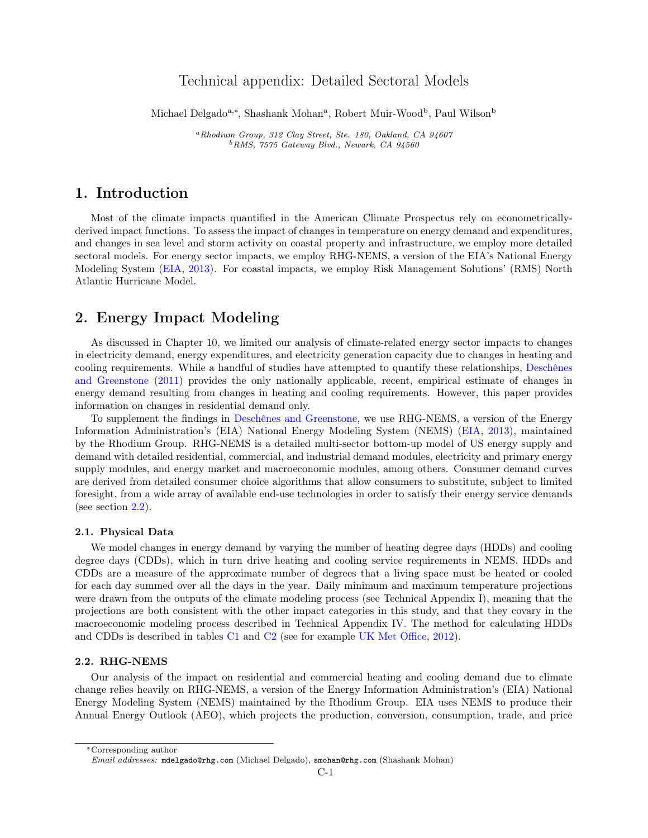## Technical appendix: Detailed Sectoral Models

Michael Delgado<sup>a,∗</sup>, Shashank Mohan<sup>a</sup>, Robert Muir-Wood<sup>b</sup>, Paul Wilson<sup>b</sup>

<sup>a</sup>Rhodium Group, 312 Clay Street, Ste. 180, Oakland, CA 94607  $b$ RMS, 7575 Gateway Blvd., Newark, CA 94560

## 1. Introduction

Most of the climate impacts quantified in the American Climate Prospectus rely on econometricallyderived impact functions. To assess the impact of changes in temperature on energy demand and expenditures, and changes in sea level and storm activity on coastal property and infrastructure, we employ more detailed sectoral models. For energy sector impacts, we employ RHG-NEMS, a version of the EIA's National Energy Modeling System [\(EIA,](#page-12-0) [2013\)](#page-12-0). For coastal impacts, we employ Risk Management Solutions' (RMS) North Atlantic Hurricane Model.

## 2. Energy Impact Modeling

As discussed in Chapter 10, we limited our analysis of climate-related energy sector impacts to changes in electricity demand, energy expenditures, and electricity generation capacity due to changes in heating and cooling requirements. While a handful of studies have attempted to quantify these relationships, [Deschênes](#page-11-0) [and Greenstone](#page-11-0) [\(2011\)](#page-11-0) provides the only nationally applicable, recent, empirical estimate of changes in energy demand resulting from changes in heating and cooling requirements. However, this paper provides information on changes in residential demand only.

To supplement the findings in [Deschênes and Greenstone,](#page-11-0) we use RHG-NEMS, a version of the Energy Information Administration's (EIA) National Energy Modeling System (NEMS) [\(EIA,](#page-12-0) [2013\)](#page-12-0), maintained by the Rhodium Group. RHG-NEMS is a detailed multi-sector bottom-up model of US energy supply and demand with detailed residential, commercial, and industrial demand modules, electricity and primary energy supply modules, and energy market and macroeconomic modules, among others. Consumer demand curves are derived from detailed consumer choice algorithms that allow consumers to substitute, subject to limited foresight, from a wide array of available end-use technologies in order to satisfy their energy service demands (see section [2.2\)](#page-0-0).

## 2.1. Physical Data

We model changes in energy demand by varying the number of heating degree days (HDDs) and cooling degree days (CDDs), which in turn drive heating and cooling service requirements in NEMS. HDDs and CDDs are a measure of the approximate number of degrees that a living space must be heated or cooled for each day summed over all the days in the year. Daily minimum and maximum temperature projections were drawn from the outputs of the climate modeling process (see Technical Appendix I), meaning that the projections are both consistent with the other impact categories in this study, and that they covary in the macroeconomic modeling process described in Technical Appendix IV. The method for calculating HDDs and CDDs is described in tables [C1](#page-1-0) and [C2](#page-1-1) (see for example [UK Met Office,](#page-12-1) [2012\)](#page-12-1).

## <span id="page-0-0"></span>2.2. RHG-NEMS

Our analysis of the impact on residential and commercial heating and cooling demand due to climate change relies heavily on RHG-NEMS, a version of the Energy Information Administration's (EIA) National Energy Modeling System (NEMS) maintained by the Rhodium Group. EIA uses NEMS to produce their Annual Energy Outlook (AEO), which projects the production, conversion, consumption, trade, and price

<sup>∗</sup>Corresponding author

Email addresses: mdelgado@rhg.com (Michael Delgado), smohan@rhg.com (Shashank Mohan)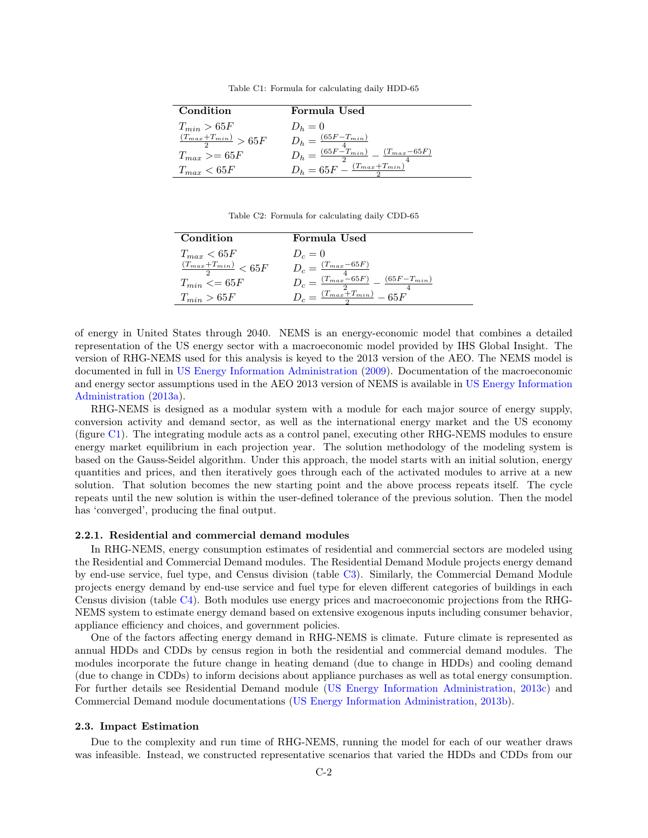<span id="page-1-1"></span>Table C1: Formula for calculating daily HDD-65

<span id="page-1-0"></span>

| Condition                         | Formula Used                                                                                       |
|-----------------------------------|----------------------------------------------------------------------------------------------------|
| $T_{min} > 65F$                   | $D_h=0$                                                                                            |
| $\frac{(T_{max}+T_{min})}{2}>65F$ |                                                                                                    |
| $T_{max} > = 65F$                 | $D_h = \frac{(65F - T_{min})}{4}$<br>$D_h = \frac{(65F - T_{min})}{2} - \frac{(T_{max} - 65F)}{4}$ |
| $T_{max} < 65F$                   | $D_h = 65F - \frac{(T_{max} + T_{min})}{2}$                                                        |

Table C2: Formula for calculating daily CDD-65

| Condition                           | Formula Used                                                                      |
|-------------------------------------|-----------------------------------------------------------------------------------|
| $T_{max} < 65F$                     | $D_c=0$                                                                           |
| $\frac{(T_{max}+T_{min})}{2} < 65F$ | $D_c = \frac{(T_{max} - 65F)}{4}$                                                 |
| $T_{min} \leq 65F$                  | $D_c = \frac{\sqrt{4}}{2}$ = $\frac{\sqrt{4-65F}}{2}$ - $\frac{(65F-T_{min})}{2}$ |
| $T_{min} > 65F$                     | $D_c = \frac{(T_{max} + T_{min})}{T} - 65F$                                       |

of energy in United States through 2040. NEMS is an energy-economic model that combines a detailed representation of the US energy sector with a macroeconomic model provided by IHS Global Insight. The version of RHG-NEMS used for this analysis is keyed to the 2013 version of the AEO. The NEMS model is documented in full in [US Energy Information Administration](#page-12-2) [\(2009\)](#page-12-2). Documentation of the macroeconomic and energy sector assumptions used in the AEO 2013 version of NEMS is available in [US Energy Information](#page-12-3) [Administration](#page-12-3) [\(2013a\)](#page-12-3).

RHG-NEMS is designed as a modular system with a module for each major source of energy supply, conversion activity and demand sector, as well as the international energy market and the US economy (figure [C1\)](#page-2-0). The integrating module acts as a control panel, executing other RHG-NEMS modules to ensure energy market equilibrium in each projection year. The solution methodology of the modeling system is based on the Gauss-Seidel algorithm. Under this approach, the model starts with an initial solution, energy quantities and prices, and then iteratively goes through each of the activated modules to arrive at a new solution. That solution becomes the new starting point and the above process repeats itself. The cycle repeats until the new solution is within the user-defined tolerance of the previous solution. Then the model has 'converged', producing the final output.

### 2.2.1. Residential and commercial demand modules

In RHG-NEMS, energy consumption estimates of residential and commercial sectors are modeled using the Residential and Commercial Demand modules. The Residential Demand Module projects energy demand by end-use service, fuel type, and Census division (table [C3\)](#page-2-1). Similarly, the Commercial Demand Module projects energy demand by end-use service and fuel type for eleven different categories of buildings in each Census division (table [C4\)](#page-3-0). Both modules use energy prices and macroeconomic projections from the RHG-NEMS system to estimate energy demand based on extensive exogenous inputs including consumer behavior, appliance efficiency and choices, and government policies.

One of the factors affecting energy demand in RHG-NEMS is climate. Future climate is represented as annual HDDs and CDDs by census region in both the residential and commercial demand modules. The modules incorporate the future change in heating demand (due to change in HDDs) and cooling demand (due to change in CDDs) to inform decisions about appliance purchases as well as total energy consumption. For further details see Residential Demand module [\(US Energy Information Administration,](#page-12-4) [2013c\)](#page-12-4) and Commercial Demand module documentations [\(US Energy Information Administration,](#page-12-5) [2013b\)](#page-12-5).

## 2.3. Impact Estimation

Due to the complexity and run time of RHG-NEMS, running the model for each of our weather draws was infeasible. Instead, we constructed representative scenarios that varied the HDDs and CDDs from our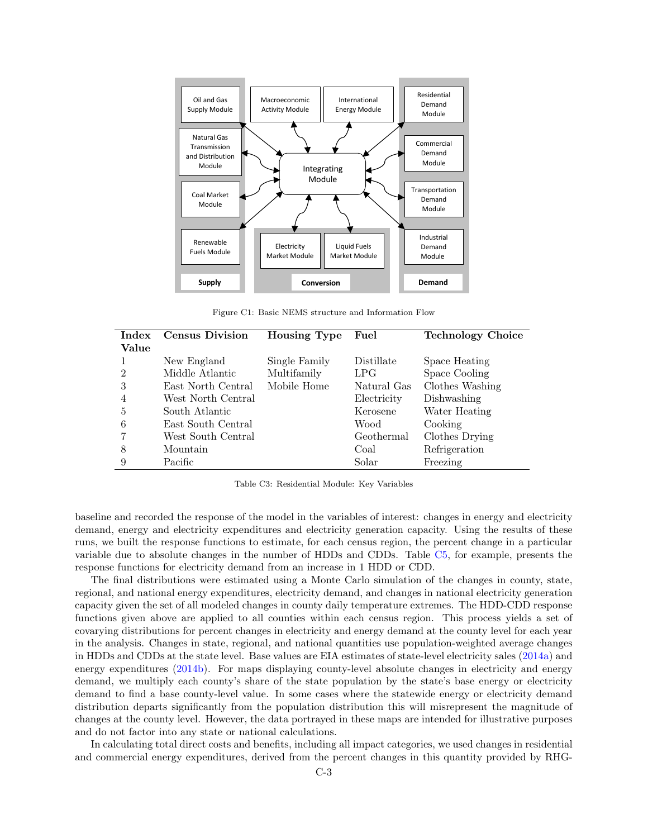

<span id="page-2-0"></span>Figure C1: Basic NEMS structure and Information Flow

| Index | <b>Census Division</b> | <b>Housing Type</b> | Fuel        | <b>Technology Choice</b> |
|-------|------------------------|---------------------|-------------|--------------------------|
| Value |                        |                     |             |                          |
|       | New England            | Single Family       | Distillate  | Space Heating            |
| 2     | Middle Atlantic        | Multifamily         | LPG.        | Space Cooling            |
| 3     | East North Central     | Mobile Home         | Natural Gas | Clothes Washing          |
| 4     | West North Central     |                     | Electricity | Dishwashing              |
| 5     | South Atlantic         |                     | Kerosene    | Water Heating            |
| 6     | East South Central     |                     | Wood        | Cooking                  |
| 7     | West South Central     |                     | Geothermal  | Clothes Drying           |
| 8     | Mountain               |                     | Coal        | Refrigeration            |
| 9     | Pacific                |                     | Solar       | Freezing                 |

<span id="page-2-1"></span>Table C3: Residential Module: Key Variables

baseline and recorded the response of the model in the variables of interest: changes in energy and electricity demand, energy and electricity expenditures and electricity generation capacity. Using the results of these runs, we built the response functions to estimate, for each census region, the percent change in a particular variable due to absolute changes in the number of HDDs and CDDs. Table [C5,](#page-3-1) for example, presents the response functions for electricity demand from an increase in 1 HDD or CDD.

The final distributions were estimated using a Monte Carlo simulation of the changes in county, state, regional, and national energy expenditures, electricity demand, and changes in national electricity generation capacity given the set of all modeled changes in county daily temperature extremes. The HDD-CDD response functions given above are applied to all counties within each census region. This process yields a set of covarying distributions for percent changes in electricity and energy demand at the county level for each year in the analysis. Changes in state, regional, and national quantities use population-weighted average changes in HDDs and CDDs at the state level. Base values are EIA estimates of state-level electricity sales [\(2014a\)](#page-12-6) and energy expenditures [\(2014b\)](#page-12-7). For maps displaying county-level absolute changes in electricity and energy demand, we multiply each county's share of the state population by the state's base energy or electricity demand to find a base county-level value. In some cases where the statewide energy or electricity demand distribution departs significantly from the population distribution this will misrepresent the magnitude of changes at the county level. However, the data portrayed in these maps are intended for illustrative purposes and do not factor into any state or national calculations.

In calculating total direct costs and benefits, including all impact categories, we used changes in residential and commercial energy expenditures, derived from the percent changes in this quantity provided by RHG-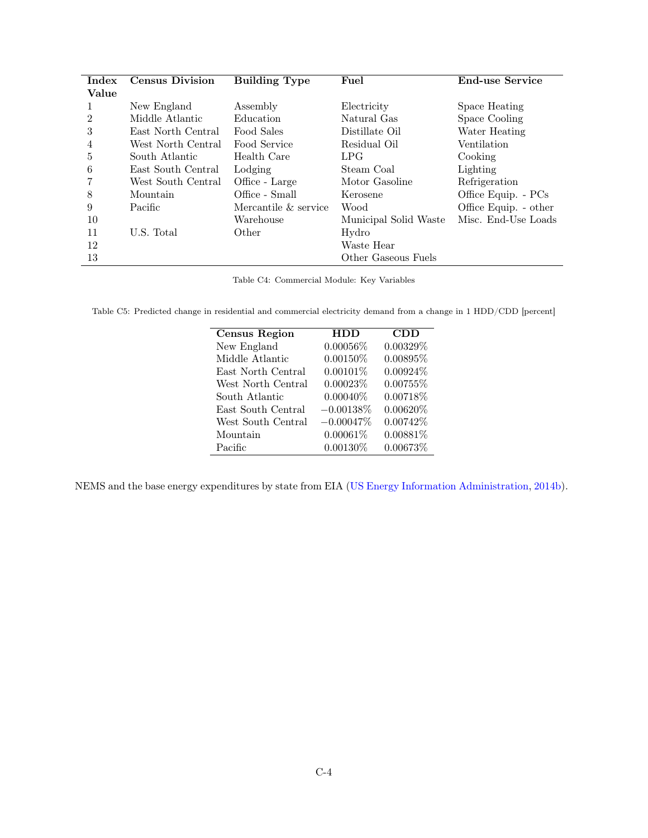| Index          | <b>Census Division</b> | <b>Building Type</b> | Fuel                  | <b>End-use Service</b> |
|----------------|------------------------|----------------------|-----------------------|------------------------|
| Value          |                        |                      |                       |                        |
|                | New England            | Assembly             | Electricity           | Space Heating          |
| $\overline{2}$ | Middle Atlantic        | Education            | Natural Gas           | Space Cooling          |
| 3              | East North Central     | Food Sales           | Distillate Oil        | Water Heating          |
| 4              | West North Central     | Food Service         | Residual Oil          | Ventilation            |
| 5              | South Atlantic         | Health Care          | <b>LPG</b>            | Cooking                |
| 6              | East South Central     | Lodging              | Steam Coal            | Lighting               |
| 7              | West South Central     | Office - Large       | Motor Gasoline        | Refrigeration          |
| 8              | Mountain               | Office - Small       | Kerosene              | Office Equip. - PCs    |
| 9              | Pacific                | Mercantile & service | Wood                  | Office Equip. - other  |
| 10             |                        | Warehouse            | Municipal Solid Waste | Misc. End-Use Loads    |
| 11             | U.S. Total             | Other                | Hydro                 |                        |
| 12             |                        |                      | Waste Hear            |                        |
| 13             |                        |                      | Other Gaseous Fuels   |                        |

<span id="page-3-0"></span>Table C4: Commercial Module: Key Variables

<span id="page-3-1"></span>Table C5: Predicted change in residential and commercial electricity demand from a change in 1 HDD/CDD [percent]

| <b>Census Region</b> | HDD         | CDD         |
|----------------------|-------------|-------------|
| New England          | $0.00056\%$ | 0.00329%    |
| Middle Atlantic      | $0.00150\%$ | 0.00895%    |
| East North Central   | $0.00101\%$ | 0.00924%    |
| West North Central   | 0.00023%    | 0.00755%    |
| South Atlantic       | $0.00040\%$ | 0.00718%    |
| East South Central   | $-0.00138%$ | $0.00620\%$ |
| West South Central   | $-0.00047%$ | 0.00742%    |
| Mountain             | $0.00061\%$ | 0.00881\%   |
| Pacific              | $0.00130\%$ | $0.00673\%$ |

NEMS and the base energy expenditures by state from EIA [\(US Energy Information Administration,](#page-12-7) [2014b\)](#page-12-7).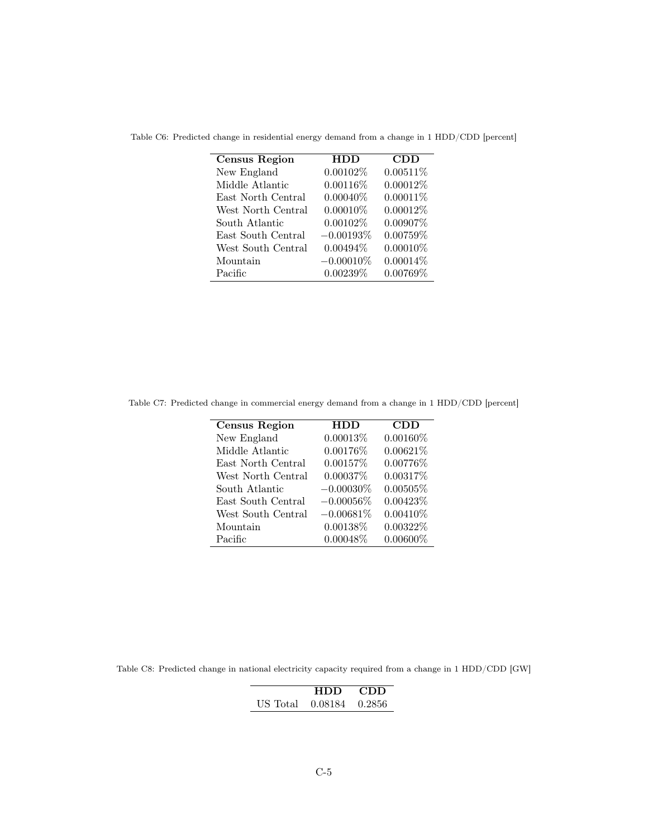Table C6: Predicted change in residential energy demand from a change in 1 HDD/CDD [percent]

| Census Region      | <b>HDD</b>   | CDD         |
|--------------------|--------------|-------------|
| New England        | $0.00102\%$  | $0.00511\%$ |
| Middle Atlantic    | $0.00116\%$  | 0.00012%    |
| East North Central | $0.00040\%$  | $0.00011\%$ |
| West North Central | $0.00010\%$  | 0.00012%    |
| South Atlantic     | $0.00102\%$  | 0.00907%    |
| East South Central | $-0.00193\%$ | $0.00759\%$ |
| West South Central | $0.00494\%$  | $0.00010\%$ |
| Mountain           | $-0.00010\%$ | $0.00014\%$ |
| Pacific            | $0.00239\%$  | 0.00769%    |

Table C7: Predicted change in commercial energy demand from a change in 1 HDD/CDD [percent]

| <b>Census Region</b> | <b>HDD</b>   | CDD         |
|----------------------|--------------|-------------|
| New England          | 0.00013%     | $0.00160\%$ |
| Middle Atlantic      | 0.00176\%    | 0.00621%    |
| East North Central   | 0.00157%     | 0.00776%    |
| West North Central   | 0.00037%     | 0.00317%    |
| South Atlantic       | $-0.00030\%$ | 0.00505%    |
| East South Central   | $-0.00056\%$ | 0.00423%    |
| West South Central   | $-0.00681\%$ | $0.00410\%$ |
| Mountain             | 0.00138%     | 0.00322%    |
| Pacific              | 0.00048%     | $0.00600\%$ |

Table C8: Predicted change in national electricity capacity required from a change in 1 HDD/CDD [GW]

|          | <b>HDD</b> | -CDD.  |
|----------|------------|--------|
| US Total | 0.08184    | 0.2856 |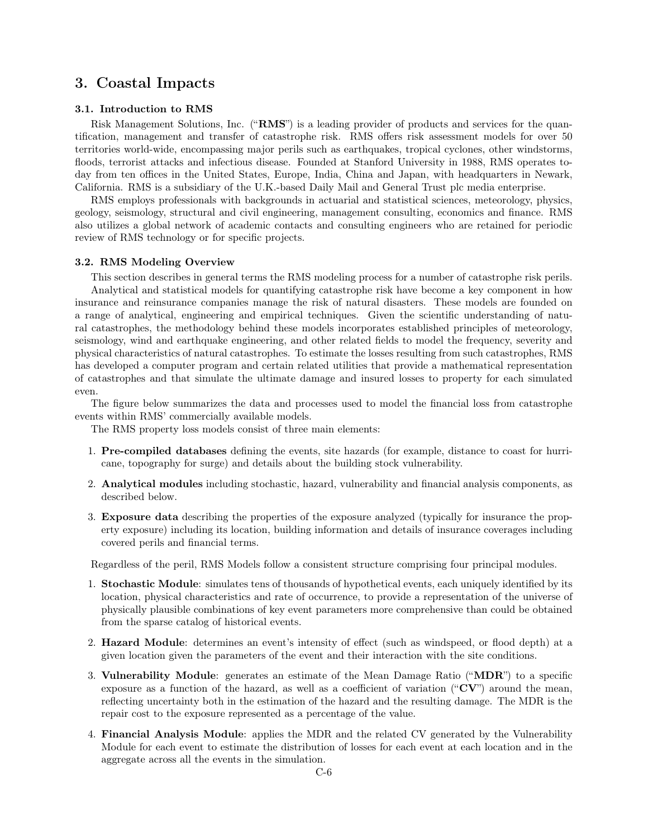## 3. Coastal Impacts

## 3.1. Introduction to RMS

Risk Management Solutions, Inc. ("**RMS**") is a leading provider of products and services for the quantification, management and transfer of catastrophe risk. RMS offers risk assessment models for over 50 territories world-wide, encompassing major perils such as earthquakes, tropical cyclones, other windstorms, floods, terrorist attacks and infectious disease. Founded at Stanford University in 1988, RMS operates today from ten offices in the United States, Europe, India, China and Japan, with headquarters in Newark, California. RMS is a subsidiary of the U.K.-based Daily Mail and General Trust plc media enterprise.

RMS employs professionals with backgrounds in actuarial and statistical sciences, meteorology, physics, geology, seismology, structural and civil engineering, management consulting, economics and finance. RMS also utilizes a global network of academic contacts and consulting engineers who are retained for periodic review of RMS technology or for specific projects.

## 3.2. RMS Modeling Overview

This section describes in general terms the RMS modeling process for a number of catastrophe risk perils. Analytical and statistical models for quantifying catastrophe risk have become a key component in how insurance and reinsurance companies manage the risk of natural disasters. These models are founded on a range of analytical, engineering and empirical techniques. Given the scientific understanding of natural catastrophes, the methodology behind these models incorporates established principles of meteorology, seismology, wind and earthquake engineering, and other related fields to model the frequency, severity and physical characteristics of natural catastrophes. To estimate the losses resulting from such catastrophes, RMS has developed a computer program and certain related utilities that provide a mathematical representation of catastrophes and that simulate the ultimate damage and insured losses to property for each simulated even.

The figure below summarizes the data and processes used to model the financial loss from catastrophe events within RMS' commercially available models.

The RMS property loss models consist of three main elements:

- 1. Pre-compiled databases defining the events, site hazards (for example, distance to coast for hurricane, topography for surge) and details about the building stock vulnerability.
- 2. Analytical modules including stochastic, hazard, vulnerability and financial analysis components, as described below.
- 3. Exposure data describing the properties of the exposure analyzed (typically for insurance the property exposure) including its location, building information and details of insurance coverages including covered perils and financial terms.

Regardless of the peril, RMS Models follow a consistent structure comprising four principal modules.

- 1. Stochastic Module: simulates tens of thousands of hypothetical events, each uniquely identified by its location, physical characteristics and rate of occurrence, to provide a representation of the universe of physically plausible combinations of key event parameters more comprehensive than could be obtained from the sparse catalog of historical events.
- 2. Hazard Module: determines an event's intensity of effect (such as windspeed, or flood depth) at a given location given the parameters of the event and their interaction with the site conditions.
- 3. Vulnerability Module: generates an estimate of the Mean Damage Ratio ("MDR") to a specific exposure as a function of the hazard, as well as a coefficient of variation  $(^\omega \mathbf{C} \mathbf{V}^{\prime\prime})$  around the mean, reflecting uncertainty both in the estimation of the hazard and the resulting damage. The MDR is the repair cost to the exposure represented as a percentage of the value.
- 4. Financial Analysis Module: applies the MDR and the related CV generated by the Vulnerability Module for each event to estimate the distribution of losses for each event at each location and in the aggregate across all the events in the simulation.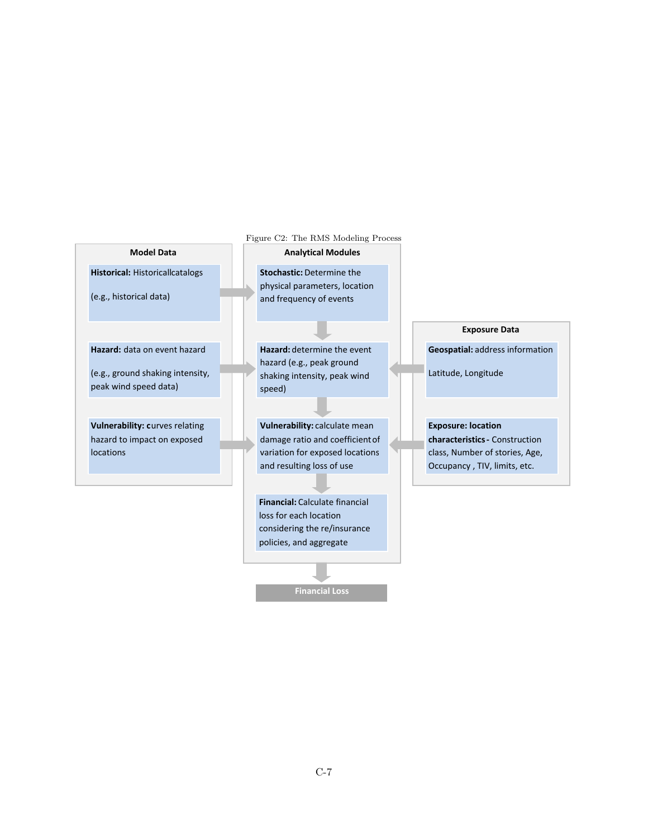#### **Model Data**

**Historical:** Historicallcatalogs

(e.g., historical data)

**Hazard:** data on event hazard

(e.g., ground shaking intensity, peak wind speed data)

**Vulnerability:** curves relating hazard to impact on exposed locations

## Figure C2: The RMS Modeling Process

**Analytical Modules**

**Stochastic:** Determine the physical parameters, location and frequency of events

Hazard: determine the event hazard (e.g., peak ground shaking intensity, peak wind speed)

**Vulnerability:** calculate mean damage ratio and coefficient of variation for exposed locations and resulting loss of use

**Financial:** Calculate financial loss for each location considering the re/insurance policies, and aggregate

**Financial Loss**

**Exposure Data**

**Geospatial:** address information

Latitude, Longitude

**Exposure: location characteristics -** Construction class, Number of stories, Age, Occupancy, TIV, limits, etc.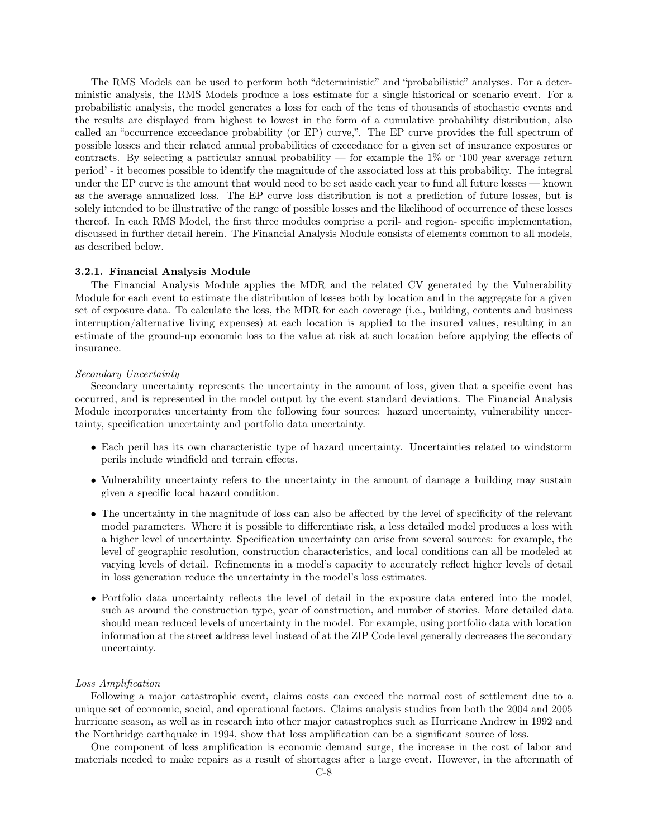The RMS Models can be used to perform both "deterministic" and "probabilistic" analyses. For a deterministic analysis, the RMS Models produce a loss estimate for a single historical or scenario event. For a probabilistic analysis, the model generates a loss for each of the tens of thousands of stochastic events and the results are displayed from highest to lowest in the form of a cumulative probability distribution, also called an "occurrence exceedance probability (or EP) curve,". The EP curve provides the full spectrum of possible losses and their related annual probabilities of exceedance for a given set of insurance exposures or contracts. By selecting a particular annual probability — for example the  $1\%$  or '100 year average return period' - it becomes possible to identify the magnitude of the associated loss at this probability. The integral under the EP curve is the amount that would need to be set aside each year to fund all future losses — known as the average annualized loss. The EP curve loss distribution is not a prediction of future losses, but is solely intended to be illustrative of the range of possible losses and the likelihood of occurrence of these losses thereof. In each RMS Model, the first three modules comprise a peril- and region- specific implementation, discussed in further detail herein. The Financial Analysis Module consists of elements common to all models, as described below.

#### 3.2.1. Financial Analysis Module

The Financial Analysis Module applies the MDR and the related CV generated by the Vulnerability Module for each event to estimate the distribution of losses both by location and in the aggregate for a given set of exposure data. To calculate the loss, the MDR for each coverage (i.e., building, contents and business interruption/alternative living expenses) at each location is applied to the insured values, resulting in an estimate of the ground-up economic loss to the value at risk at such location before applying the effects of insurance.

#### Secondary Uncertainty

Secondary uncertainty represents the uncertainty in the amount of loss, given that a specific event has occurred, and is represented in the model output by the event standard deviations. The Financial Analysis Module incorporates uncertainty from the following four sources: hazard uncertainty, vulnerability uncertainty, specification uncertainty and portfolio data uncertainty.

- Each peril has its own characteristic type of hazard uncertainty. Uncertainties related to windstorm perils include windfield and terrain effects.
- Vulnerability uncertainty refers to the uncertainty in the amount of damage a building may sustain given a specific local hazard condition.
- The uncertainty in the magnitude of loss can also be affected by the level of specificity of the relevant model parameters. Where it is possible to differentiate risk, a less detailed model produces a loss with a higher level of uncertainty. Specification uncertainty can arise from several sources: for example, the level of geographic resolution, construction characteristics, and local conditions can all be modeled at varying levels of detail. Refinements in a model's capacity to accurately reflect higher levels of detail in loss generation reduce the uncertainty in the model's loss estimates.
- Portfolio data uncertainty reflects the level of detail in the exposure data entered into the model, such as around the construction type, year of construction, and number of stories. More detailed data should mean reduced levels of uncertainty in the model. For example, using portfolio data with location information at the street address level instead of at the ZIP Code level generally decreases the secondary uncertainty.

#### Loss Amplification

Following a major catastrophic event, claims costs can exceed the normal cost of settlement due to a unique set of economic, social, and operational factors. Claims analysis studies from both the 2004 and 2005 hurricane season, as well as in research into other major catastrophes such as Hurricane Andrew in 1992 and the Northridge earthquake in 1994, show that loss amplification can be a significant source of loss.

One component of loss amplification is economic demand surge, the increase in the cost of labor and materials needed to make repairs as a result of shortages after a large event. However, in the aftermath of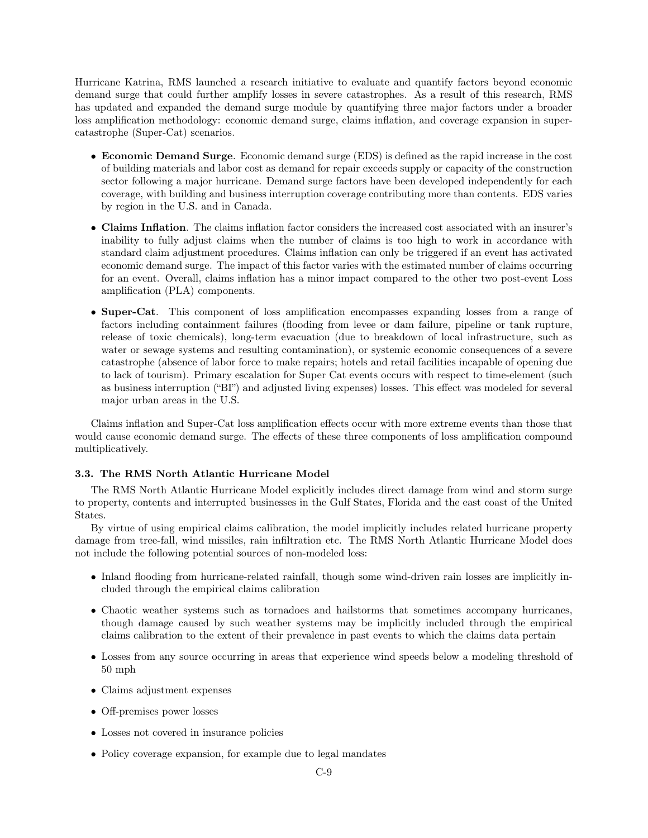Hurricane Katrina, RMS launched a research initiative to evaluate and quantify factors beyond economic demand surge that could further amplify losses in severe catastrophes. As a result of this research, RMS has updated and expanded the demand surge module by quantifying three major factors under a broader loss amplification methodology: economic demand surge, claims inflation, and coverage expansion in supercatastrophe (Super-Cat) scenarios.

- Economic Demand Surge. Economic demand surge (EDS) is defined as the rapid increase in the cost of building materials and labor cost as demand for repair exceeds supply or capacity of the construction sector following a major hurricane. Demand surge factors have been developed independently for each coverage, with building and business interruption coverage contributing more than contents. EDS varies by region in the U.S. and in Canada.
- Claims Inflation. The claims inflation factor considers the increased cost associated with an insurer's inability to fully adjust claims when the number of claims is too high to work in accordance with standard claim adjustment procedures. Claims inflation can only be triggered if an event has activated economic demand surge. The impact of this factor varies with the estimated number of claims occurring for an event. Overall, claims inflation has a minor impact compared to the other two post-event Loss amplification (PLA) components.
- Super-Cat. This component of loss amplification encompasses expanding losses from a range of factors including containment failures (flooding from levee or dam failure, pipeline or tank rupture, release of toxic chemicals), long-term evacuation (due to breakdown of local infrastructure, such as water or sewage systems and resulting contamination), or systemic economic consequences of a severe catastrophe (absence of labor force to make repairs; hotels and retail facilities incapable of opening due to lack of tourism). Primary escalation for Super Cat events occurs with respect to time-element (such as business interruption ("BI") and adjusted living expenses) losses. This effect was modeled for several major urban areas in the U.S.

Claims inflation and Super-Cat loss amplification effects occur with more extreme events than those that would cause economic demand surge. The effects of these three components of loss amplification compound multiplicatively.

## 3.3. The RMS North Atlantic Hurricane Model

The RMS North Atlantic Hurricane Model explicitly includes direct damage from wind and storm surge to property, contents and interrupted businesses in the Gulf States, Florida and the east coast of the United States.

By virtue of using empirical claims calibration, the model implicitly includes related hurricane property damage from tree-fall, wind missiles, rain infiltration etc. The RMS North Atlantic Hurricane Model does not include the following potential sources of non-modeled loss:

- Inland flooding from hurricane-related rainfall, though some wind-driven rain losses are implicitly included through the empirical claims calibration
- Chaotic weather systems such as tornadoes and hailstorms that sometimes accompany hurricanes, though damage caused by such weather systems may be implicitly included through the empirical claims calibration to the extent of their prevalence in past events to which the claims data pertain
- Losses from any source occurring in areas that experience wind speeds below a modeling threshold of 50 mph
- Claims adjustment expenses
- Off-premises power losses
- Losses not covered in insurance policies
- Policy coverage expansion, for example due to legal mandates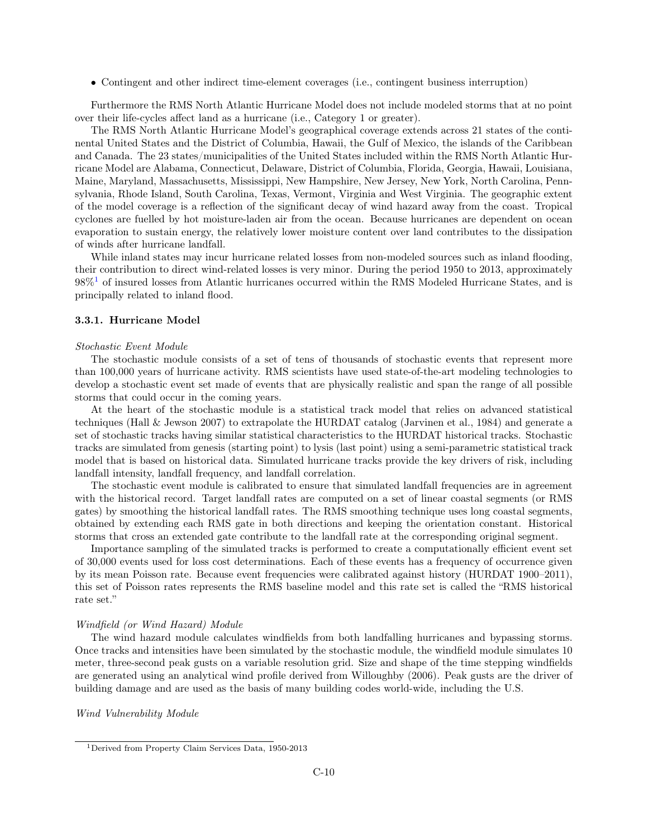• Contingent and other indirect time-element coverages (i.e., contingent business interruption)

Furthermore the RMS North Atlantic Hurricane Model does not include modeled storms that at no point over their life-cycles affect land as a hurricane (i.e., Category 1 or greater).

The RMS North Atlantic Hurricane Model's geographical coverage extends across 21 states of the continental United States and the District of Columbia, Hawaii, the Gulf of Mexico, the islands of the Caribbean and Canada. The 23 states/municipalities of the United States included within the RMS North Atlantic Hurricane Model are Alabama, Connecticut, Delaware, District of Columbia, Florida, Georgia, Hawaii, Louisiana, Maine, Maryland, Massachusetts, Mississippi, New Hampshire, New Jersey, New York, North Carolina, Pennsylvania, Rhode Island, South Carolina, Texas, Vermont, Virginia and West Virginia. The geographic extent of the model coverage is a reflection of the significant decay of wind hazard away from the coast. Tropical cyclones are fuelled by hot moisture-laden air from the ocean. Because hurricanes are dependent on ocean evaporation to sustain energy, the relatively lower moisture content over land contributes to the dissipation of winds after hurricane landfall.

While inland states may incur hurricane related losses from non-modeled sources such as inland flooding, their contribution to direct wind-related losses is very minor. During the period 1950 to 2013, approximately 98%[1](#page-9-0) of insured losses from Atlantic hurricanes occurred within the RMS Modeled Hurricane States, and is principally related to inland flood.

### 3.3.1. Hurricane Model

## Stochastic Event Module

The stochastic module consists of a set of tens of thousands of stochastic events that represent more than 100,000 years of hurricane activity. RMS scientists have used state-of-the-art modeling technologies to develop a stochastic event set made of events that are physically realistic and span the range of all possible storms that could occur in the coming years.

At the heart of the stochastic module is a statistical track model that relies on advanced statistical techniques (Hall & Jewson 2007) to extrapolate the HURDAT catalog (Jarvinen et al., 1984) and generate a set of stochastic tracks having similar statistical characteristics to the HURDAT historical tracks. Stochastic tracks are simulated from genesis (starting point) to lysis (last point) using a semi-parametric statistical track model that is based on historical data. Simulated hurricane tracks provide the key drivers of risk, including landfall intensity, landfall frequency, and landfall correlation.

The stochastic event module is calibrated to ensure that simulated landfall frequencies are in agreement with the historical record. Target landfall rates are computed on a set of linear coastal segments (or RMS gates) by smoothing the historical landfall rates. The RMS smoothing technique uses long coastal segments, obtained by extending each RMS gate in both directions and keeping the orientation constant. Historical storms that cross an extended gate contribute to the landfall rate at the corresponding original segment.

Importance sampling of the simulated tracks is performed to create a computationally efficient event set of 30,000 events used for loss cost determinations. Each of these events has a frequency of occurrence given by its mean Poisson rate. Because event frequencies were calibrated against history (HURDAT 1900–2011), this set of Poisson rates represents the RMS baseline model and this rate set is called the "RMS historical rate set."

#### Windfield (or Wind Hazard) Module

The wind hazard module calculates windfields from both landfalling hurricanes and bypassing storms. Once tracks and intensities have been simulated by the stochastic module, the windfield module simulates 10 meter, three-second peak gusts on a variable resolution grid. Size and shape of the time stepping windfields are generated using an analytical wind profile derived from Willoughby (2006). Peak gusts are the driver of building damage and are used as the basis of many building codes world-wide, including the U.S.

Wind Vulnerability Module

<span id="page-9-0"></span><sup>1</sup>Derived from Property Claim Services Data, 1950-2013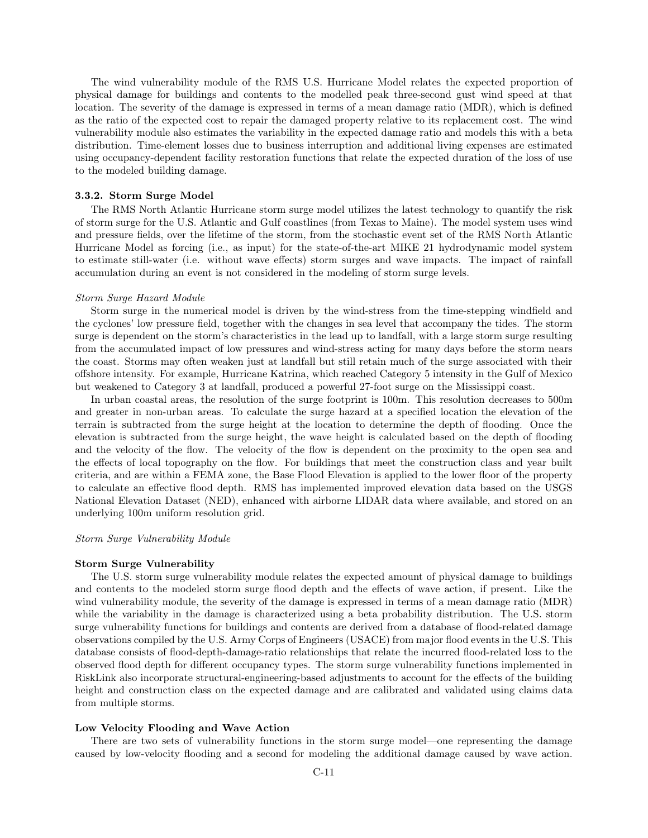The wind vulnerability module of the RMS U.S. Hurricane Model relates the expected proportion of physical damage for buildings and contents to the modelled peak three-second gust wind speed at that location. The severity of the damage is expressed in terms of a mean damage ratio (MDR), which is defined as the ratio of the expected cost to repair the damaged property relative to its replacement cost. The wind vulnerability module also estimates the variability in the expected damage ratio and models this with a beta distribution. Time-element losses due to business interruption and additional living expenses are estimated using occupancy-dependent facility restoration functions that relate the expected duration of the loss of use to the modeled building damage.

### 3.3.2. Storm Surge Model

The RMS North Atlantic Hurricane storm surge model utilizes the latest technology to quantify the risk of storm surge for the U.S. Atlantic and Gulf coastlines (from Texas to Maine). The model system uses wind and pressure fields, over the lifetime of the storm, from the stochastic event set of the RMS North Atlantic Hurricane Model as forcing (i.e., as input) for the state-of-the-art MIKE 21 hydrodynamic model system to estimate still-water (i.e. without wave effects) storm surges and wave impacts. The impact of rainfall accumulation during an event is not considered in the modeling of storm surge levels.

### Storm Surge Hazard Module

Storm surge in the numerical model is driven by the wind-stress from the time-stepping windfield and the cyclones' low pressure field, together with the changes in sea level that accompany the tides. The storm surge is dependent on the storm's characteristics in the lead up to landfall, with a large storm surge resulting from the accumulated impact of low pressures and wind-stress acting for many days before the storm nears the coast. Storms may often weaken just at landfall but still retain much of the surge associated with their offshore intensity. For example, Hurricane Katrina, which reached Category 5 intensity in the Gulf of Mexico but weakened to Category 3 at landfall, produced a powerful 27-foot surge on the Mississippi coast.

In urban coastal areas, the resolution of the surge footprint is 100m. This resolution decreases to 500m and greater in non-urban areas. To calculate the surge hazard at a specified location the elevation of the terrain is subtracted from the surge height at the location to determine the depth of flooding. Once the elevation is subtracted from the surge height, the wave height is calculated based on the depth of flooding and the velocity of the flow. The velocity of the flow is dependent on the proximity to the open sea and the effects of local topography on the flow. For buildings that meet the construction class and year built criteria, and are within a FEMA zone, the Base Flood Elevation is applied to the lower floor of the property to calculate an effective flood depth. RMS has implemented improved elevation data based on the USGS National Elevation Dataset (NED), enhanced with airborne LIDAR data where available, and stored on an underlying 100m uniform resolution grid.

#### Storm Surge Vulnerability Module

### Storm Surge Vulnerability

The U.S. storm surge vulnerability module relates the expected amount of physical damage to buildings and contents to the modeled storm surge flood depth and the effects of wave action, if present. Like the wind vulnerability module, the severity of the damage is expressed in terms of a mean damage ratio (MDR) while the variability in the damage is characterized using a beta probability distribution. The U.S. storm surge vulnerability functions for buildings and contents are derived from a database of flood-related damage observations compiled by the U.S. Army Corps of Engineers (USACE) from major flood events in the U.S. This database consists of flood-depth-damage-ratio relationships that relate the incurred flood-related loss to the observed flood depth for different occupancy types. The storm surge vulnerability functions implemented in RiskLink also incorporate structural-engineering-based adjustments to account for the effects of the building height and construction class on the expected damage and are calibrated and validated using claims data from multiple storms.

### Low Velocity Flooding and Wave Action

There are two sets of vulnerability functions in the storm surge model—one representing the damage caused by low-velocity flooding and a second for modeling the additional damage caused by wave action.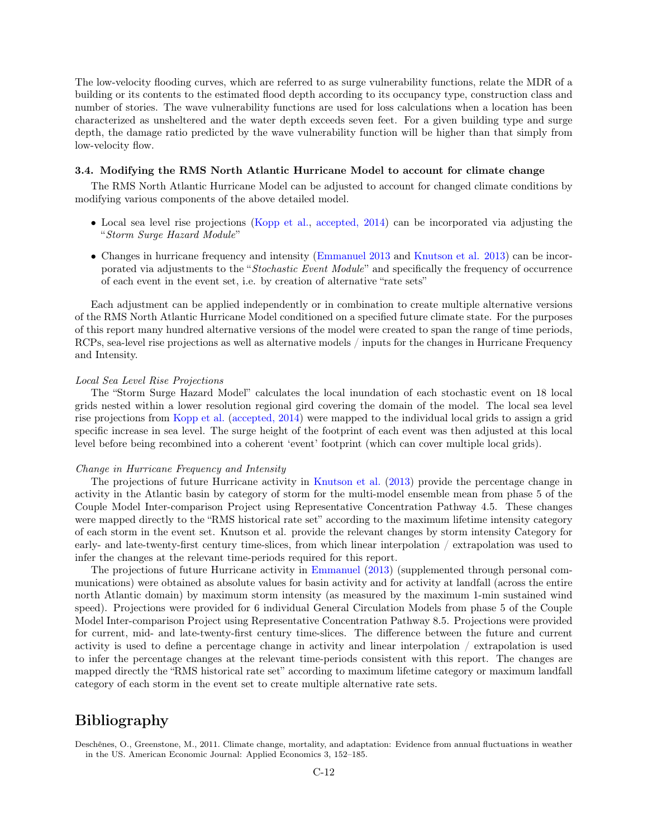The low-velocity flooding curves, which are referred to as surge vulnerability functions, relate the MDR of a building or its contents to the estimated flood depth according to its occupancy type, construction class and number of stories. The wave vulnerability functions are used for loss calculations when a location has been characterized as unsheltered and the water depth exceeds seven feet. For a given building type and surge depth, the damage ratio predicted by the wave vulnerability function will be higher than that simply from low-velocity flow.

## 3.4. Modifying the RMS North Atlantic Hurricane Model to account for climate change

The RMS North Atlantic Hurricane Model can be adjusted to account for changed climate conditions by modifying various components of the above detailed model.

- Local sea level rise projections [\(Kopp et al.,](#page-12-8) [accepted, 2014\)](#page-12-8) can be incorporated via adjusting the "Storm Surge Hazard Module"
- Changes in hurricane frequency and intensity [\(Emmanuel](#page-12-9) [2013](#page-12-9) and [Knutson et al.](#page-12-10) [2013\)](#page-12-10) can be incorporated via adjustments to the "Stochastic Event Module" and specifically the frequency of occurrence of each event in the event set, i.e. by creation of alternative "rate sets"

Each adjustment can be applied independently or in combination to create multiple alternative versions of the RMS North Atlantic Hurricane Model conditioned on a specified future climate state. For the purposes of this report many hundred alternative versions of the model were created to span the range of time periods, RCPs, sea-level rise projections as well as alternative models / inputs for the changes in Hurricane Frequency and Intensity.

#### Local Sea Level Rise Projections

The "Storm Surge Hazard Model" calculates the local inundation of each stochastic event on 18 local grids nested within a lower resolution regional gird covering the domain of the model. The local sea level rise projections from [Kopp et al.](#page-12-8) [\(accepted, 2014\)](#page-12-8) were mapped to the individual local grids to assign a grid specific increase in sea level. The surge height of the footprint of each event was then adjusted at this local level before being recombined into a coherent 'event' footprint (which can cover multiple local grids).

#### Change in Hurricane Frequency and Intensity

The projections of future Hurricane activity in [Knutson et al.](#page-12-10) [\(2013\)](#page-12-10) provide the percentage change in activity in the Atlantic basin by category of storm for the multi-model ensemble mean from phase 5 of the Couple Model Inter-comparison Project using Representative Concentration Pathway 4.5. These changes were mapped directly to the "RMS historical rate set" according to the maximum lifetime intensity category of each storm in the event set. Knutson et al. provide the relevant changes by storm intensity Category for early- and late-twenty-first century time-slices, from which linear interpolation / extrapolation was used to infer the changes at the relevant time-periods required for this report.

The projections of future Hurricane activity in [Emmanuel](#page-12-9) [\(2013\)](#page-12-9) (supplemented through personal communications) were obtained as absolute values for basin activity and for activity at landfall (across the entire north Atlantic domain) by maximum storm intensity (as measured by the maximum 1-min sustained wind speed). Projections were provided for 6 individual General Circulation Models from phase 5 of the Couple Model Inter-comparison Project using Representative Concentration Pathway 8.5. Projections were provided for current, mid- and late-twenty-first century time-slices. The difference between the future and current activity is used to define a percentage change in activity and linear interpolation / extrapolation is used to infer the percentage changes at the relevant time-periods consistent with this report. The changes are mapped directly the "RMS historical rate set" according to maximum lifetime category or maximum landfall category of each storm in the event set to create multiple alternative rate sets.

# Bibliography

<span id="page-11-0"></span>Deschênes, O., Greenstone, M., 2011. Climate change, mortality, and adaptation: Evidence from annual fluctuations in weather in the US. American Economic Journal: Applied Economics 3, 152–185.